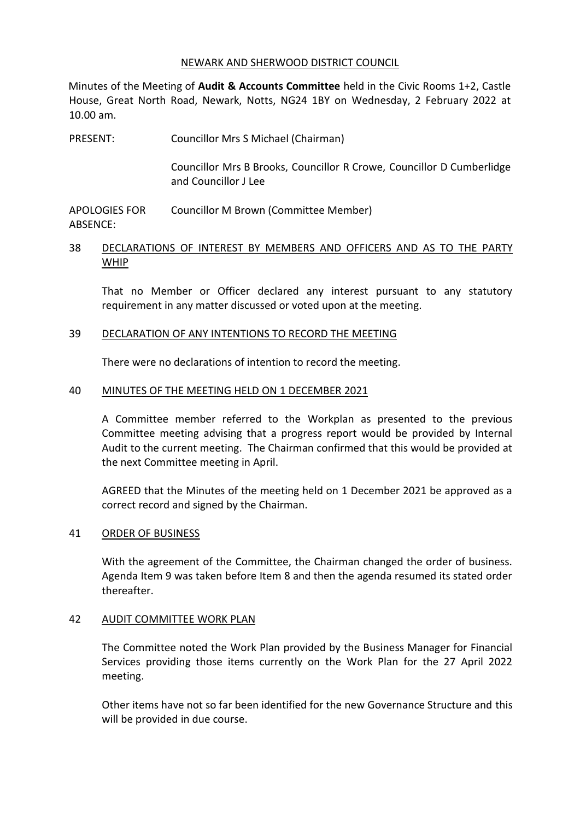#### NEWARK AND SHERWOOD DISTRICT COUNCIL

Minutes of the Meeting of **Audit & Accounts Committee** held in the Civic Rooms 1+2, Castle House, Great North Road, Newark, Notts, NG24 1BY on Wednesday, 2 February 2022 at 10.00 am.

PRESENT: Councillor Mrs S Michael (Chairman) Councillor Mrs B Brooks, Councillor R Crowe, Councillor D Cumberlidge and Councillor J Lee

APOLOGIES FOR ABSENCE: Councillor M Brown (Committee Member)

### 38 DECLARATIONS OF INTEREST BY MEMBERS AND OFFICERS AND AS TO THE PARTY WHIP

That no Member or Officer declared any interest pursuant to any statutory requirement in any matter discussed or voted upon at the meeting.

### 39 DECLARATION OF ANY INTENTIONS TO RECORD THE MEETING

There were no declarations of intention to record the meeting.

### 40 MINUTES OF THE MEETING HELD ON 1 DECEMBER 2021

A Committee member referred to the Workplan as presented to the previous Committee meeting advising that a progress report would be provided by Internal Audit to the current meeting. The Chairman confirmed that this would be provided at the next Committee meeting in April.

AGREED that the Minutes of the meeting held on 1 December 2021 be approved as a correct record and signed by the Chairman.

### 41 ORDER OF BUSINESS

With the agreement of the Committee, the Chairman changed the order of business. Agenda Item 9 was taken before Item 8 and then the agenda resumed its stated order thereafter.

### 42 AUDIT COMMITTEE WORK PLAN

The Committee noted the Work Plan provided by the Business Manager for Financial Services providing those items currently on the Work Plan for the 27 April 2022 meeting.

Other items have not so far been identified for the new Governance Structure and this will be provided in due course.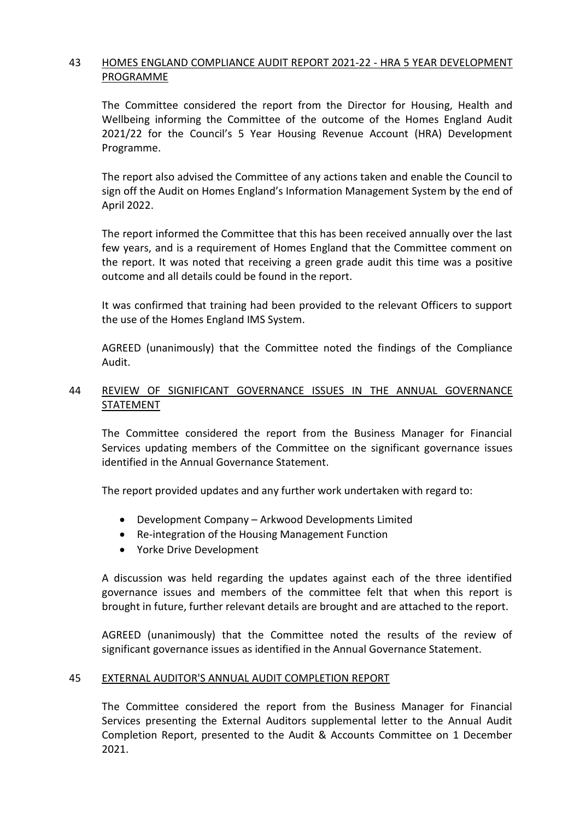## 43 HOMES ENGLAND COMPLIANCE AUDIT REPORT 2021-22 - HRA 5 YEAR DEVELOPMENT PROGRAMME

The Committee considered the report from the Director for Housing, Health and Wellbeing informing the Committee of the outcome of the Homes England Audit 2021/22 for the Council's 5 Year Housing Revenue Account (HRA) Development Programme.

The report also advised the Committee of any actions taken and enable the Council to sign off the Audit on Homes England's Information Management System by the end of April 2022.

The report informed the Committee that this has been received annually over the last few years, and is a requirement of Homes England that the Committee comment on the report. It was noted that receiving a green grade audit this time was a positive outcome and all details could be found in the report.

It was confirmed that training had been provided to the relevant Officers to support the use of the Homes England IMS System.

AGREED (unanimously) that the Committee noted the findings of the Compliance Audit.

### 44 REVIEW OF SIGNIFICANT GOVERNANCE ISSUES IN THE ANNUAL GOVERNANCE STATEMENT

The Committee considered the report from the Business Manager for Financial Services updating members of the Committee on the significant governance issues identified in the Annual Governance Statement.

The report provided updates and any further work undertaken with regard to:

- Development Company Arkwood Developments Limited
- Re-integration of the Housing Management Function
- Yorke Drive Development

A discussion was held regarding the updates against each of the three identified governance issues and members of the committee felt that when this report is brought in future, further relevant details are brought and are attached to the report.

AGREED (unanimously) that the Committee noted the results of the review of significant governance issues as identified in the Annual Governance Statement.

### 45 EXTERNAL AUDITOR'S ANNUAL AUDIT COMPLETION REPORT

The Committee considered the report from the Business Manager for Financial Services presenting the External Auditors supplemental letter to the Annual Audit Completion Report, presented to the Audit & Accounts Committee on 1 December 2021.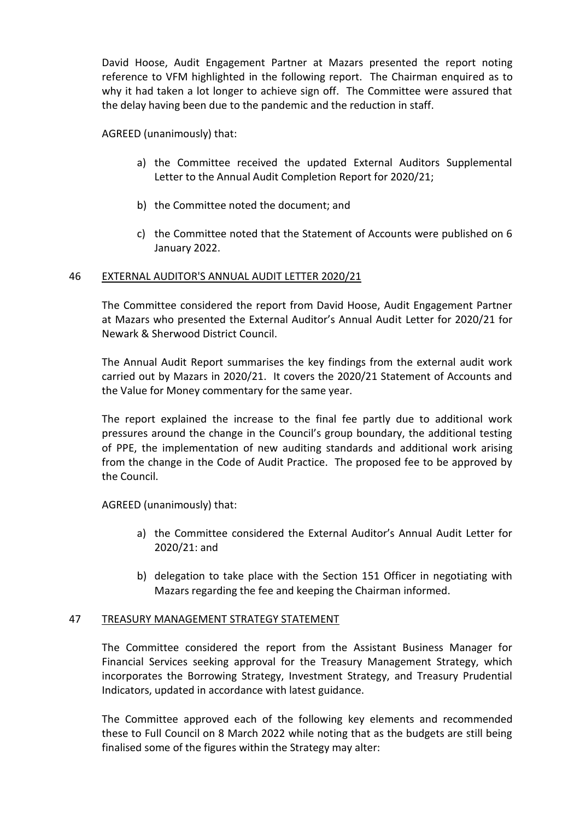David Hoose, Audit Engagement Partner at Mazars presented the report noting reference to VFM highlighted in the following report. The Chairman enquired as to why it had taken a lot longer to achieve sign off. The Committee were assured that the delay having been due to the pandemic and the reduction in staff.

AGREED (unanimously) that:

- a) the Committee received the updated External Auditors Supplemental Letter to the Annual Audit Completion Report for 2020/21;
- b) the Committee noted the document; and
- c) the Committee noted that the Statement of Accounts were published on 6 January 2022.

### 46 EXTERNAL AUDITOR'S ANNUAL AUDIT LETTER 2020/21

The Committee considered the report from David Hoose, Audit Engagement Partner at Mazars who presented the External Auditor's Annual Audit Letter for 2020/21 for Newark & Sherwood District Council.

The Annual Audit Report summarises the key findings from the external audit work carried out by Mazars in 2020/21. It covers the 2020/21 Statement of Accounts and the Value for Money commentary for the same year.

The report explained the increase to the final fee partly due to additional work pressures around the change in the Council's group boundary, the additional testing of PPE, the implementation of new auditing standards and additional work arising from the change in the Code of Audit Practice. The proposed fee to be approved by the Council.

AGREED (unanimously) that:

- a) the Committee considered the External Auditor's Annual Audit Letter for 2020/21: and
- b) delegation to take place with the Section 151 Officer in negotiating with Mazars regarding the fee and keeping the Chairman informed.

### 47 TREASURY MANAGEMENT STRATEGY STATEMENT

The Committee considered the report from the Assistant Business Manager for Financial Services seeking approval for the Treasury Management Strategy, which incorporates the Borrowing Strategy, Investment Strategy, and Treasury Prudential Indicators, updated in accordance with latest guidance.

The Committee approved each of the following key elements and recommended these to Full Council on 8 March 2022 while noting that as the budgets are still being finalised some of the figures within the Strategy may alter: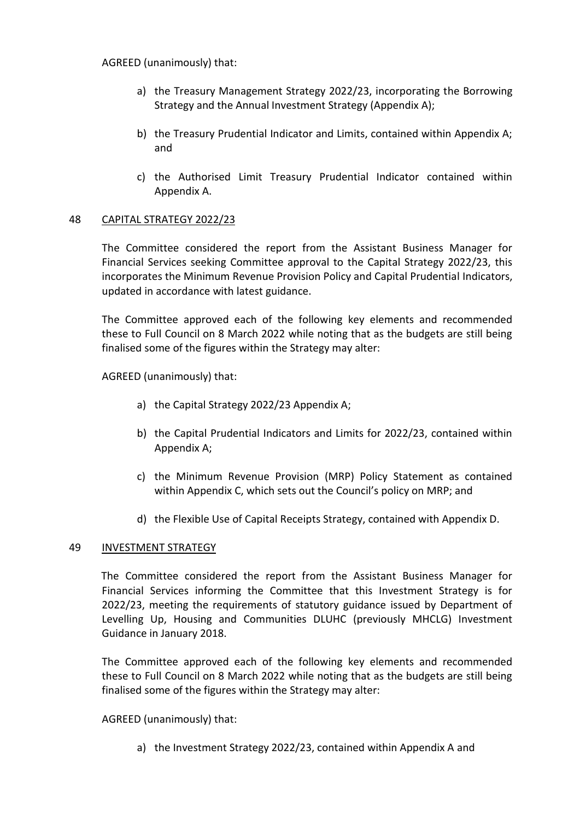AGREED (unanimously) that:

- a) the Treasury Management Strategy 2022/23, incorporating the Borrowing Strategy and the Annual Investment Strategy (Appendix A);
- b) the Treasury Prudential Indicator and Limits, contained within Appendix A; and
- c) the Authorised Limit Treasury Prudential Indicator contained within Appendix A.

### 48 CAPITAL STRATEGY 2022/23

The Committee considered the report from the Assistant Business Manager for Financial Services seeking Committee approval to the Capital Strategy 2022/23, this incorporates the Minimum Revenue Provision Policy and Capital Prudential Indicators, updated in accordance with latest guidance.

The Committee approved each of the following key elements and recommended these to Full Council on 8 March 2022 while noting that as the budgets are still being finalised some of the figures within the Strategy may alter:

AGREED (unanimously) that:

- a) the Capital Strategy 2022/23 Appendix A;
- b) the Capital Prudential Indicators and Limits for 2022/23, contained within Appendix A;
- c) the Minimum Revenue Provision (MRP) Policy Statement as contained within Appendix C, which sets out the Council's policy on MRP; and
- d) the Flexible Use of Capital Receipts Strategy, contained with Appendix D.

### 49 INVESTMENT STRATEGY

The Committee considered the report from the Assistant Business Manager for Financial Services informing the Committee that this Investment Strategy is for 2022/23, meeting the requirements of statutory guidance issued by Department of Levelling Up, Housing and Communities DLUHC (previously MHCLG) Investment Guidance in January 2018.

The Committee approved each of the following key elements and recommended these to Full Council on 8 March 2022 while noting that as the budgets are still being finalised some of the figures within the Strategy may alter:

AGREED (unanimously) that:

a) the Investment Strategy 2022/23, contained within Appendix A and